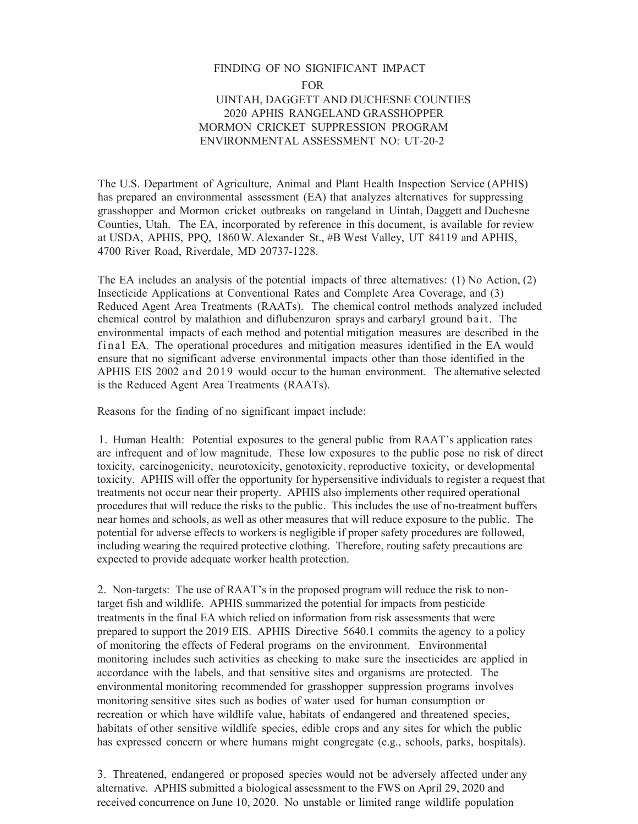## FINDING OF NO SIGNIFICANT IMPACT FOR UINTAH, DAGGETT AND DUCHESNE COUNTIES 2020 APHIS RANGELAND GRASSHOPPER MORMON CRICKET SUPPRESSION PROGRAM ENVIRONMENTAL ASSESSMENT NO: UT-20-2

The U.S. Department of Agriculture, Animal and Plant Health Inspection Service (APHIS) has prepared an environmental assessment (EA) that analyzes alternatives for suppressing grasshopper and Mormon cricket outbreaks on rangeland in Uintah, Daggett and Duchesne Counties, Utah. The EA, incorporated by reference in this document, is available for review at USDA, APHIS, PPQ, 1860W. Alexander St., #B West Valley, UT 84119 and APHIS, 4700 River Road, Riverdale, MD 20737-1228.

The EA includes an analysis of the potential impacts of three alternatives: (1) No Action, (2) Insecticide Applications at Conventional Rates and Complete Area Coverage, and (3) Reduced Agent Area Treatments (RAATs). The chemical control methods analyzed included chemical control by malathion and diflubenzuron sprays and carbaryl ground bait. The environmental impacts of each method and potential mitigation measures are described in the final EA. The operational procedures and mitigation measures identified in the EA would ensure that no significant adverse environmental impacts other than those identified in the APHIS EIS 2002 and 2019 would occur to the human environment. The alternative selected is the Reduced Agent Area Treatments (RAATs).

Reasons for the finding of no significant impact include:

1. Human Health: Potential exposures to the general public from RAAT's application rates are infrequent and of low magnitude. These low exposures to the public pose no risk of direct toxicity, carcinogenicity, neurotoxicity, genotoxicity, reproductive toxicity, or developmental toxicity. APHIS will offer the opportunity for hypersensitive individuals to register a request that treatments not occur near their property. APHIS also implements other required operational procedures that will reduce the risks to the public. This includes the use of no-treatment buffers near homes and schools, as well as other measures that will reduce exposure to the public. The potential for adverse effects to workers is negligible if proper safety procedures are followed, including wearing the required protective clothing. Therefore, routing safety precautions are expected to provide adequate worker health protection.

2. Non-targets: The use of RAAT's in the proposed program will reduce the risk to nontarget fish and wildlife. APHIS summarized the potential for impacts from pesticide treatments in the final EA which relied on information from risk assessments that were prepared to support the 2019 EIS. APHIS Directive 5640.1 commits the agency to a policy of monitoring the effects of Federal programs on the environment. Environmental monitoring includes such activities as checking to make sure the insecticides are applied in accordance with the labels, and that sensitive sites and organisms are protected. The environmental monitoring recommended for grasshopper suppression programs involves monitoring sensitive sites such as bodies of water used for human consumption or recreation or which have wildlife value, habitats of endangered and threatened species, habitats of other sensitive wildlife species, edible crops and any sites for which the public has expressed concern or where humans might congregate (e.g., schools, parks, hospitals).

3. Threatened, endangered or proposed species would not be adversely affected under any alternative. APHIS submitted a biological assessment to the FWS on April 29, 2020 and received concurrence on June 10, 2020. No unstable or limited range wildlife population